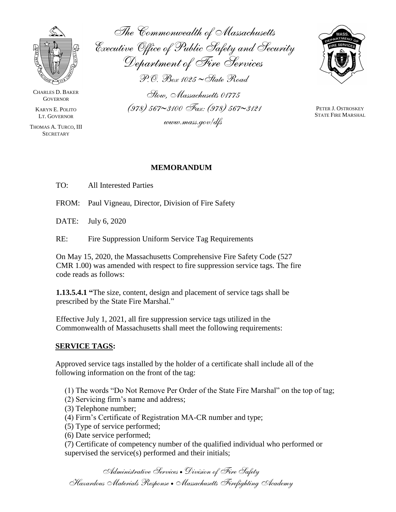

CHARLES D. BAKER **GOVERNOR** 

KARYN E. POLITO LT. GOVERNOR

THOMAS A. TURCO, III **SECRETARY** 

*The Commonwealth of Massachusetts Executive Office of Public Safety and Security Department of Fire Services P.O. Box 1025 State Road Stow, Massachusetts 01775 (978) 5673100 Fax: (978) 5673121*

*www.mass.gov/dfs*



PETER J. OSTROSKEY STATE FIRE MARSHAL

### **MEMORANDUM**

TO: All Interested Parties

FROM: Paul Vigneau, Director, Division of Fire Safety

DATE: July 6, 2020

RE: Fire Suppression Uniform Service Tag Requirements

On May 15, 2020, the Massachusetts Comprehensive Fire Safety Code (527 CMR 1.00) was amended with respect to fire suppression service tags. The fire code reads as follows:

**1.13.5.4.1 "**The size, content, design and placement of service tags shall be prescribed by the State Fire Marshal."

Effective July 1, 2021, all fire suppression service tags utilized in the Commonwealth of Massachusetts shall meet the following requirements:

#### **SERVICE TAGS:**

Approved service tags installed by the holder of a certificate shall include all of the following information on the front of the tag:

(1) The words "Do Not Remove Per Order of the State Fire Marshal" on the top of tag;

- (2) Servicing firm's name and address;
- (3) Telephone number;
- (4) Firm's Certificate of Registration MA-CR number and type;
- (5) Type of service performed;
- (6) Date service performed;

(7) Certificate of competency number of the qualified individual who performed or supervised the service(s) performed and their initials;

*Administrative Services Division of Fire Safety Hazardous Materials Response Massachusetts Firefighting Academy*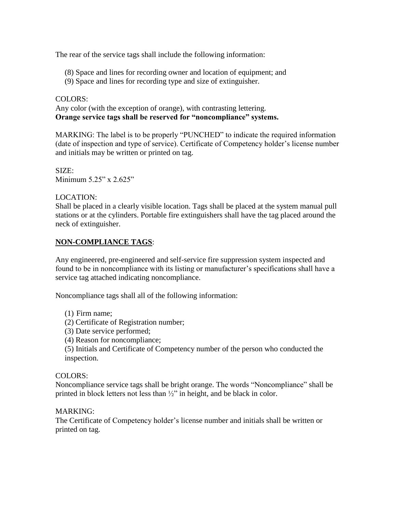The rear of the service tags shall include the following information:

- (8) Space and lines for recording owner and location of equipment; and
- (9) Space and lines for recording type and size of extinguisher.

#### COLORS:

Any color (with the exception of orange), with contrasting lettering. **Orange service tags shall be reserved for "noncompliance" systems.** 

MARKING: The label is to be properly "PUNCHED" to indicate the required information (date of inspection and type of service). Certificate of Competency holder's license number and initials may be written or printed on tag.

SIZE: Minimum 5.25" x 2.625"

# LOCATION:

Shall be placed in a clearly visible location. Tags shall be placed at the system manual pull stations or at the cylinders. Portable fire extinguishers shall have the tag placed around the neck of extinguisher.

# **NON-COMPLIANCE TAGS**:

Any engineered, pre-engineered and self-service fire suppression system inspected and found to be in noncompliance with its listing or manufacturer's specifications shall have a service tag attached indicating noncompliance.

Noncompliance tags shall all of the following information:

- (1) Firm name;
- (2) Certificate of Registration number;
- (3) Date service performed;
- (4) Reason for noncompliance;

(5) Initials and Certificate of Competency number of the person who conducted the inspection.

# COLORS:

Noncompliance service tags shall be bright orange. The words "Noncompliance" shall be printed in block letters not less than ½" in height, and be black in color.

# MARKING:

The Certificate of Competency holder's license number and initials shall be written or printed on tag.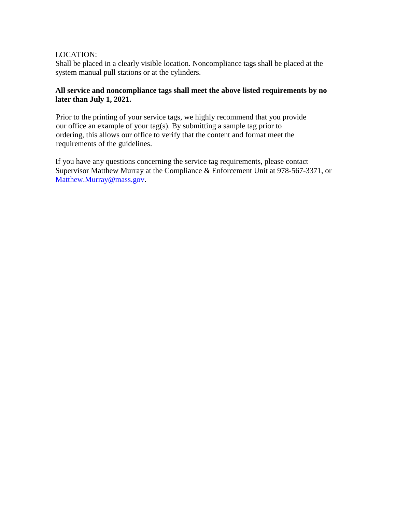### LOCATION:

Shall be placed in a clearly visible location. Noncompliance tags shall be placed at the system manual pull stations or at the cylinders.

### **All service and noncompliance tags shall meet the above listed requirements by no later than July 1, 2021.**

Prior to the printing of your service tags, we highly recommend that you provide our office an example of your tag(s). By submitting a sample tag prior to ordering, this allows our office to verify that the content and format meet the requirements of the guidelines.

If you have any questions concerning the service tag requirements, please contact Supervisor Matthew Murray at the Compliance & Enforcement Unit at 978-567-3371, or [Matthew.Murray@mass.gov.](mailto:Matthew.Murray@mass.gov)